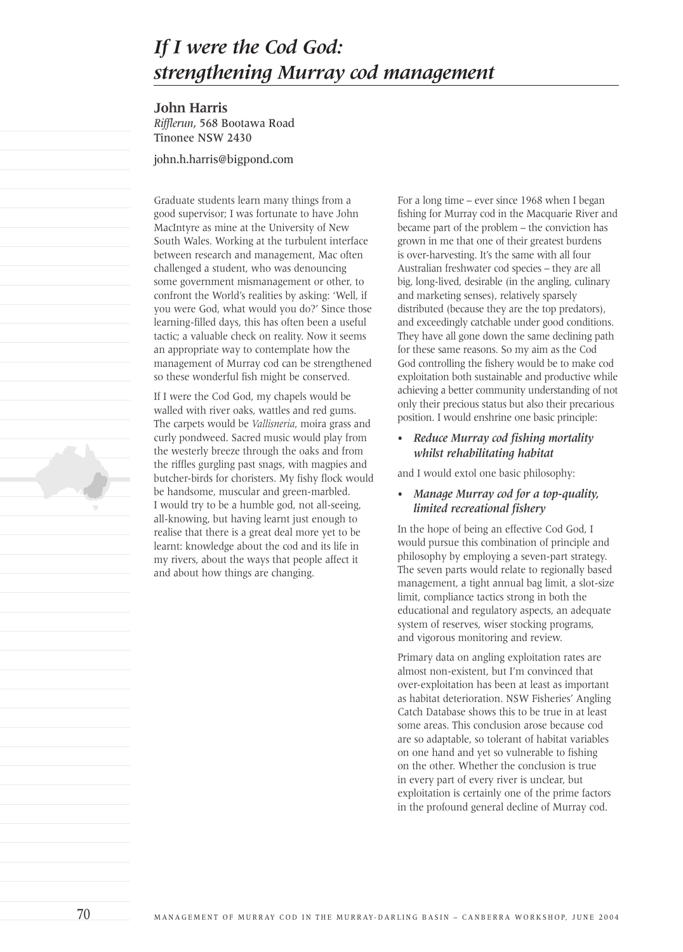# *If I were the Cod God: strengthening Murray cod management*

**John Harris** *Rifflerun*, 568 Bootawa Road Tinonee NSW 2430

john.h.harris@bigpond.com

Graduate students learn many things from a good supervisor; I was fortunate to have John MacIntyre as mine at the University of New South Wales. Working at the turbulent interface between research and management, Mac often challenged a student, who was denouncing some government mismanagement or other, to confront the World's realities by asking: 'Well, if you were God, what would you do?' Since those learning-filled days, this has often been a useful tactic; a valuable check on reality. Now it seems an appropriate way to contemplate how the management of Murray cod can be strengthened so these wonderful fish might be conserved.

If I were the Cod God, my chapels would be walled with river oaks, wattles and red gums. The carpets would be *Vallisneria*, moira grass and curly pondweed. Sacred music would play from the westerly breeze through the oaks and from the riffles gurgling past snags, with magpies and butcher-birds for choristers. My fishy flock would be handsome, muscular and green-marbled. I would try to be a humble god, not all-seeing, all-knowing, but having learnt just enough to realise that there is a great deal more yet to be learnt: knowledge about the cod and its life in my rivers, about the ways that people affect it and about how things are changing.

For a long time – ever since 1968 when I began fishing for Murray cod in the Macquarie River and became part of the problem – the conviction has grown in me that one of their greatest burdens is over-harvesting. It's the same with all four Australian freshwater cod species – they are all big, long-lived, desirable (in the angling, culinary and marketing senses), relatively sparsely distributed (because they are the top predators), and exceedingly catchable under good conditions. They have all gone down the same declining path for these same reasons. So my aim as the Cod God controlling the fishery would be to make cod exploitation both sustainable and productive while achieving a better community understanding of not only their precious status but also their precarious position. I would enshrine one basic principle:

#### *• Reduce Murray cod fishing mortality whilst rehabilitating habitat*

and I would extol one basic philosophy:

#### *• Manage Murray cod for a top-quality, limited recreational fishery*

In the hope of being an effective Cod God, I would pursue this combination of principle and philosophy by employing a seven-part strategy. The seven parts would relate to regionally based management, a tight annual bag limit, a slot-size limit, compliance tactics strong in both the educational and regulatory aspects, an adequate system of reserves, wiser stocking programs, and vigorous monitoring and review.

Primary data on angling exploitation rates are almost non-existent, but I'm convinced that over-exploitation has been at least as important as habitat deterioration. NSW Fisheries' Angling Catch Database shows this to be true in at least some areas. This conclusion arose because cod are so adaptable, so tolerant of habitat variables on one hand and yet so vulnerable to fishing on the other. Whether the conclusion is true in every part of every river is unclear, but exploitation is certainly one of the prime factors in the profound general decline of Murray cod.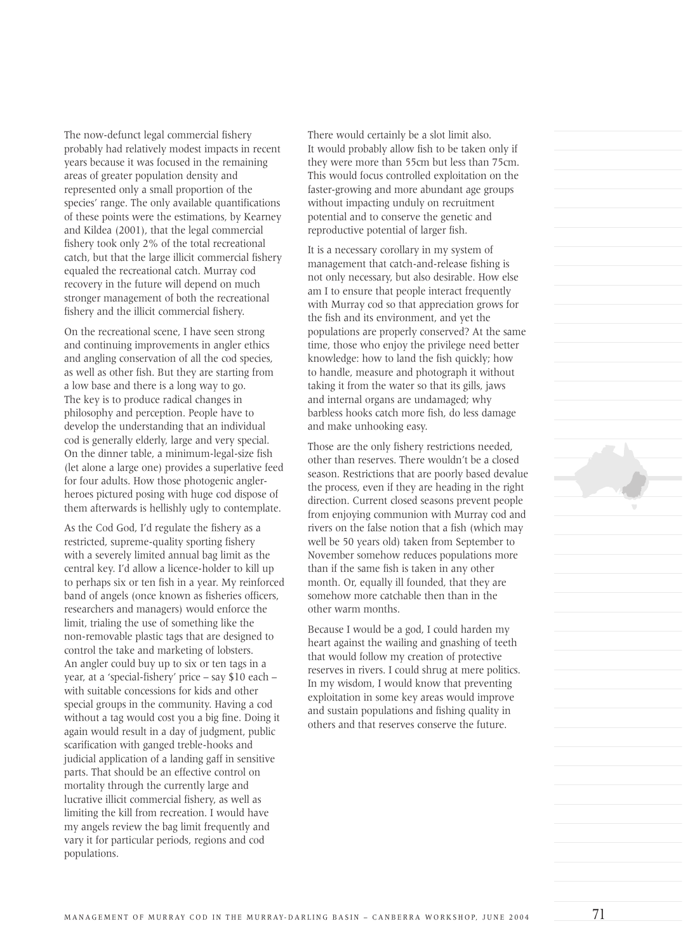The now-defunct legal commercial fishery probably had relatively modest impacts in recent years because it was focused in the remaining areas of greater population density and represented only a small proportion of the species' range. The only available quantifications of these points were the estimations, by Kearney and Kildea (2001), that the legal commercial fishery took only 2% of the total recreational catch, but that the large illicit commercial fishery equaled the recreational catch. Murray cod recovery in the future will depend on much stronger management of both the recreational fishery and the illicit commercial fishery.

On the recreational scene, I have seen strong and continuing improvements in angler ethics and angling conservation of all the cod species, as well as other fish. But they are starting from a low base and there is a long way to go. The key is to produce radical changes in philosophy and perception. People have to develop the understanding that an individual cod is generally elderly, large and very special. On the dinner table, a minimum-legal-size fish (let alone a large one) provides a superlative feed for four adults. How those photogenic anglerheroes pictured posing with huge cod dispose of them afterwards is hellishly ugly to contemplate.

As the Cod God, I'd regulate the fishery as a restricted, supreme-quality sporting fishery with a severely limited annual bag limit as the central key. I'd allow a licence-holder to kill up to perhaps six or ten fish in a year. My reinforced band of angels (once known as fisheries officers, researchers and managers) would enforce the limit, trialing the use of something like the non-removable plastic tags that are designed to control the take and marketing of lobsters. An angler could buy up to six or ten tags in a year, at a 'special-fishery' price – say \$10 each – with suitable concessions for kids and other special groups in the community. Having a cod without a tag would cost you a big fine. Doing it again would result in a day of judgment, public scarification with ganged treble-hooks and judicial application of a landing gaff in sensitive parts. That should be an effective control on mortality through the currently large and lucrative illicit commercial fishery, as well as limiting the kill from recreation. I would have my angels review the bag limit frequently and vary it for particular periods, regions and cod populations.

There would certainly be a slot limit also. It would probably allow fish to be taken only if they were more than 55cm but less than 75cm. This would focus controlled exploitation on the faster-growing and more abundant age groups without impacting unduly on recruitment potential and to conserve the genetic and reproductive potential of larger fish.

It is a necessary corollary in my system of management that catch-and-release fishing is not only necessary, but also desirable. How else am I to ensure that people interact frequently with Murray cod so that appreciation grows for the fish and its environment, and yet the populations are properly conserved? At the same time, those who enjoy the privilege need better knowledge: how to land the fish quickly; how to handle, measure and photograph it without taking it from the water so that its gills, jaws and internal organs are undamaged; why barbless hooks catch more fish, do less damage and make unhooking easy.

Those are the only fishery restrictions needed, other than reserves. There wouldn't be a closed season. Restrictions that are poorly based devalue the process, even if they are heading in the right direction. Current closed seasons prevent people from enjoying communion with Murray cod and rivers on the false notion that a fish (which may well be 50 years old) taken from September to November somehow reduces populations more than if the same fish is taken in any other month. Or, equally ill founded, that they are somehow more catchable then than in the other warm months.

Because I would be a god, I could harden my heart against the wailing and gnashing of teeth that would follow my creation of protective reserves in rivers. I could shrug at mere politics. In my wisdom, I would know that preventing exploitation in some key areas would improve and sustain populations and fishing quality in others and that reserves conserve the future.